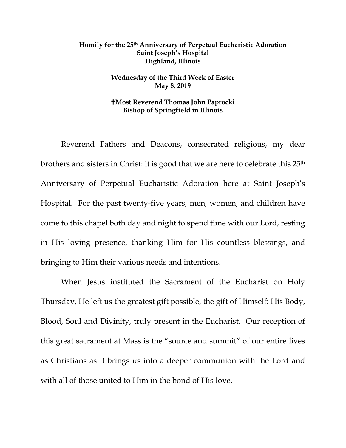## **Homily for the 25th Anniversary of Perpetual Eucharistic Adoration Saint Joseph's Hospital Highland, Illinois**

## **Wednesday of the Third Week of Easter May 8, 2019**

## **Most Reverend Thomas John Paprocki Bishop of Springfield in Illinois**

Reverend Fathers and Deacons, consecrated religious, my dear brothers and sisters in Christ: it is good that we are here to celebrate this 25th Anniversary of Perpetual Eucharistic Adoration here at Saint Joseph's Hospital. For the past twenty-five years, men, women, and children have come to this chapel both day and night to spend time with our Lord, resting in His loving presence, thanking Him for His countless blessings, and bringing to Him their various needs and intentions.

When Jesus instituted the Sacrament of the Eucharist on Holy Thursday, He left us the greatest gift possible, the gift of Himself: His Body, Blood, Soul and Divinity, truly present in the Eucharist. Our reception of this great sacrament at Mass is the "source and summit" of our entire lives as Christians as it brings us into a deeper communion with the Lord and with all of those united to Him in the bond of His love.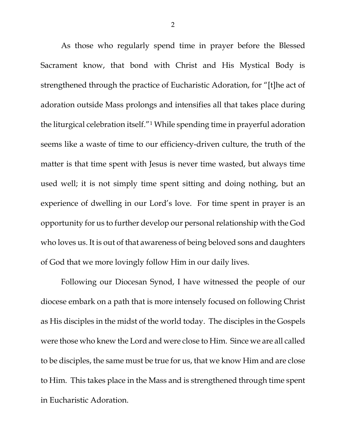As those who regularly spend time in prayer before the Blessed Sacrament know, that bond with Christ and His Mystical Body is strengthened through the practice of Eucharistic Adoration, for "[t]he act of adoration outside Mass prolongs and intensifies all that takes place during the liturgical celebration itself."[1](#page-2-0) While spending time in prayerful adoration seems like a waste of time to our efficiency-driven culture, the truth of the matter is that time spent with Jesus is never time wasted, but always time used well; it is not simply time spent sitting and doing nothing, but an experience of dwelling in our Lord's love. For time spent in prayer is an opportunity for us to further develop our personal relationship with the God who loves us. It is out of that awareness of being beloved sons and daughters of God that we more lovingly follow Him in our daily lives.

Following our Diocesan Synod, I have witnessed the people of our diocese embark on a path that is more intensely focused on following Christ as His disciples in the midst of the world today. The disciples in the Gospels were those who knew the Lord and were close to Him. Since we are all called to be disciples, the same must be true for us, that we know Him and are close to Him. This takes place in the Mass and is strengthened through time spent in Eucharistic Adoration.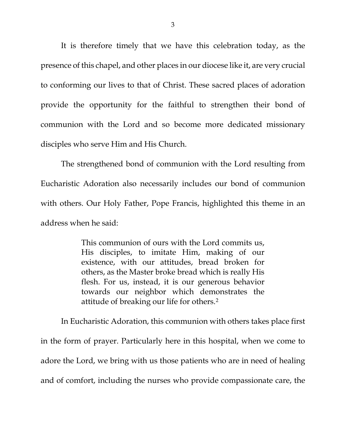It is therefore timely that we have this celebration today, as the presence of this chapel, and other places in our diocese like it, are very crucial to conforming our lives to that of Christ. These sacred places of adoration provide the opportunity for the faithful to strengthen their bond of communion with the Lord and so become more dedicated missionary disciples who serve Him and His Church.

The strengthened bond of communion with the Lord resulting from Eucharistic Adoration also necessarily includes our bond of communion with others. Our Holy Father, Pope Francis, highlighted this theme in an address when he said:

> This communion of ours with the Lord commits us, His disciples, to imitate Him, making of our existence, with our attitudes, bread broken for others, as the Master broke bread which is really His flesh. For us, instead, it is our generous behavior towards our neighbor which demonstrates the attitude of breaking our life for others.[2](#page-2-1)

<span id="page-2-2"></span><span id="page-2-1"></span><span id="page-2-0"></span>In Eucharistic Adoration, this communion with others takes place first in the form of prayer. Particularly here in this hospital, when we come to adore the Lord, we bring with us those patients who are in need of healing and of comfort, including the nurses who provide compassionate care, the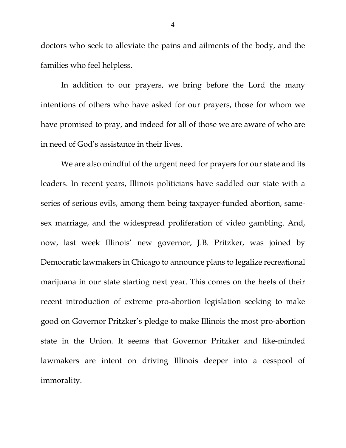doctors who seek to alleviate the pains and ailments of the body, and the families who feel helpless.

In addition to our prayers, we bring before the Lord the many intentions of others who have asked for our prayers, those for whom we have promised to pray, and indeed for all of those we are aware of who are in need of God's assistance in their lives.

We are also mindful of the urgent need for prayers for our state and its leaders. In recent years, Illinois politicians have saddled our state with a series of serious evils, among them being taxpayer-funded abortion, samesex marriage, and the widespread proliferation of video gambling. And, now, last week Illinois' new governor, J.B. Pritzker, was joined by Democratic lawmakers in Chicago to announce plans to legalize recreational marijuana in our state starting next year. This comes on the heels of their recent introduction of extreme pro-abortion legislation seeking to make good on Governor Pritzker's pledge to make Illinois the most pro-abortion state in the Union. It seems that Governor Pritzker and like-minded lawmakers are intent on driving Illinois deeper into a cesspool of immorality.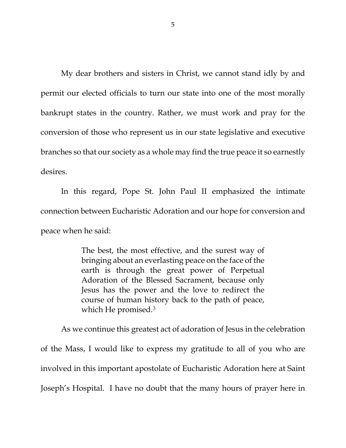My dear brothers and sisters in Christ, we cannot stand idly by and permit our elected officials to turn our state into one of the most morally bankrupt states in the country. Rather, we must work and pray for the conversion of those who represent us in our state legislative and executive branches so that our society as a whole may find the true peace it so earnestly desires.

In this regard, Pope St. John Paul II emphasized the intimate connection between Eucharistic Adoration and our hope for conversion and peace when he said:

> The best, the most effective, and the surest way of bringing about an everlasting peace on the face of the earth is through the great power of Perpetual Adoration of the Blessed Sacrament, because only Jesus has the power and the love to redirect the course of human history back to the path of peace, which He promised.[3](#page-2-2)

As we continue this greatest act of adoration of Jesus in the celebration of the Mass, I would like to express my gratitude to all of you who are involved in this important apostolate of Eucharistic Adoration here at Saint Joseph's Hospital. I have no doubt that the many hours of prayer here in